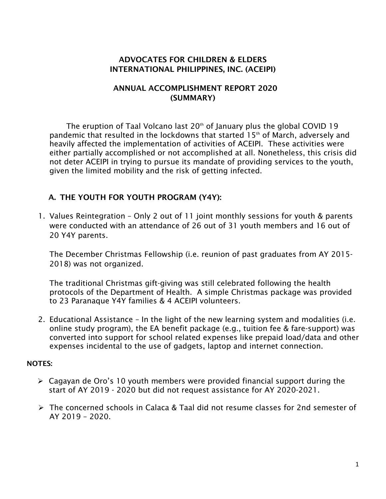## ADVOCATES FOR CHILDREN & ELDERS INTERNATIONAL PHILIPPINES, INC. (ACEIPI)

## ANNUAL ACCOMPLISHMENT REPORT 2020 (SUMMARY)

The eruption of Taal Volcano last  $20<sup>th</sup>$  of January plus the global COVID 19 pandemic that resulted in the lockdowns that started 15<sup>th</sup> of March, adversely and heavily affected the implementation of activities of ACEIPI. These activities were either partially accomplished or not accomplished at all. Nonetheless, this crisis did not deter ACEIPI in trying to pursue its mandate of providing services to the youth, given the limited mobility and the risk of getting infected.

# A. THE YOUTH FOR YOUTH PROGRAM (Y4Y):

1. Values Reintegration – Only 2 out of 11 joint monthly sessions for youth & parents were conducted with an attendance of 26 out of 31 youth members and 16 out of 20 Y4Y parents.

The December Christmas Fellowship (i.e. reunion of past graduates from AY 2015- 2018) was not organized.

The traditional Christmas gift-giving was still celebrated following the health protocols of the Department of Health. A simple Christmas package was provided to 23 Paranaque Y4Y families & 4 ACEIPI volunteers.

2. Educational Assistance – In the light of the new learning system and modalities (i.e. online study program), the EA benefit package (e.g., tuition fee & fare-support) was converted into support for school related expenses like prepaid load/data and other expenses incidental to the use of gadgets, laptop and internet connection.

#### NOTES:

- $\triangleright$  Cagayan de Oro's 10 youth members were provided financial support during the start of AY 2019 - 2020 but did not request assistance for AY 2020-2021.
- The concerned schools in Calaca & Taal did not resume classes for 2nd semester of AY 2019 – 2020.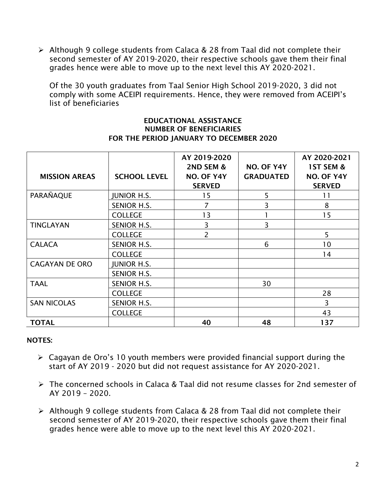Although 9 college students from Calaca & 28 from Taal did not complete their second semester of AY 2019-2020, their respective schools gave them their final grades hence were able to move up to the next level this AY 2020-2021.

Of the 30 youth graduates from Taal Senior High School 2019-2020, 3 did not comply with some ACEIPI requirements. Hence, they were removed from ACEIPI's list of beneficiaries

#### EDUCATIONAL ASSISTANCE NUMBER OF BENEFICIARIES FOR THE PERIOD JANUARY TO DECEMBER 2020

| <b>MISSION AREAS</b>  | <b>SCHOOL LEVEL</b> | AY 2019-2020<br>2ND SEM &<br>NO. OF Y4Y<br><b>SERVED</b> | NO. OF Y4Y<br><b>GRADUATED</b> | AY 2020-2021<br><b>1ST SEM &amp;</b><br>NO. OF Y4Y<br><b>SERVED</b> |
|-----------------------|---------------------|----------------------------------------------------------|--------------------------------|---------------------------------------------------------------------|
| PARAÑAQUE             | <b>JUNIOR H.S.</b>  | 15                                                       | 5                              | 11                                                                  |
|                       | <b>SENIOR H.S.</b>  | 7                                                        | 3                              | 8                                                                   |
|                       | <b>COLLEGE</b>      | 13                                                       |                                | 15                                                                  |
| <b>TINGLAYAN</b>      | <b>SENIOR H.S.</b>  | 3                                                        | 3                              |                                                                     |
|                       | <b>COLLEGE</b>      | 2                                                        |                                | 5                                                                   |
| <b>CALACA</b>         | SENIOR H.S.         |                                                          | 6                              | 10                                                                  |
|                       | <b>COLLEGE</b>      |                                                          |                                | 14                                                                  |
| <b>CAGAYAN DE ORO</b> | <b>JUNIOR H.S.</b>  |                                                          |                                |                                                                     |
|                       | SENIOR H.S.         |                                                          |                                |                                                                     |
| <b>TAAL</b>           | <b>SENIOR H.S.</b>  |                                                          | 30                             |                                                                     |
|                       | <b>COLLEGE</b>      |                                                          |                                | 28                                                                  |
| <b>SAN NICOLAS</b>    | <b>SENIOR H.S.</b>  |                                                          |                                | 3                                                                   |
|                       | <b>COLLEGE</b>      |                                                          |                                | 43                                                                  |
| <b>TOTAL</b>          |                     | 40                                                       | 48                             | 137                                                                 |

## NOTES:

- Cagayan de Oro's 10 youth members were provided financial support during the start of AY 2019 - 2020 but did not request assistance for AY 2020-2021.
- The concerned schools in Calaca & Taal did not resume classes for 2nd semester of AY 2019 – 2020.
- Although 9 college students from Calaca & 28 from Taal did not complete their second semester of AY 2019-2020, their respective schools gave them their final grades hence were able to move up to the next level this AY 2020-2021.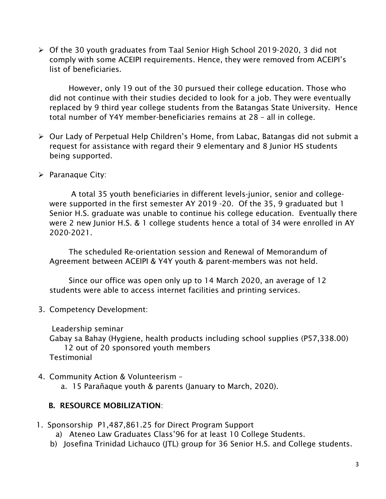Of the 30 youth graduates from Taal Senior High School 2019-2020, 3 did not comply with some ACEIPI requirements. Hence, they were removed from ACEIPI's list of beneficiaries.

 However, only 19 out of the 30 pursued their college education. Those who did not continue with their studies decided to look for a job. They were eventually replaced by 9 third year college students from the Batangas State University. Hence total number of Y4Y member-beneficiaries remains at 28 – all in college.

- Our Lady of Perpetual Help Children's Home, from Labac, Batangas did not submit a request for assistance with regard their 9 elementary and 8 Junior HS students being supported.
- $\triangleright$  Paranaque City:

 A total 35 youth beneficiaries in different levels-junior, senior and collegewere supported in the first semester AY 2019 -20. Of the 35, 9 graduated but 1 Senior H.S. graduate was unable to continue his college education. Eventually there were 2 new Junior H.S. & 1 college students hence a total of 34 were enrolled in AY 2020-2021.

 The scheduled Re-orientation session and Renewal of Memorandum of Agreement between ACEIPI & Y4Y youth & parent-members was not held.

 Since our office was open only up to 14 March 2020, an average of 12 students were able to access internet facilities and printing services.

3. Competency Development:

Leadership seminar

Gabay sa Bahay (Hygiene, health products including school supplies (P57,338.00) 12 out of 20 sponsored youth members Testimonial

4. Community Action & Volunteerism –

a. 15 Parañaque youth & parents (January to March, 2020).

# B. RESOURCE MOBILIZATION:

1. Sponsorship P1,487,861.25 for Direct Program Support

a) Ateneo Law Graduates Class'96 for at least 10 College Students.

b) Josefina Trinidad Lichauco (JTL) group for 36 Senior H.S. and College students.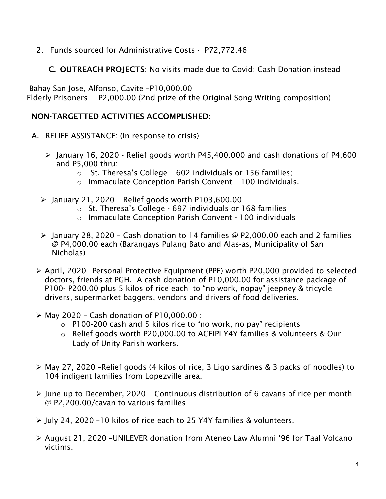2. Funds sourced for Administrative Costs - P72,772.46

C. OUTREACH PROJECTS: No visits made due to Covid: Cash Donation instead

Bahay San Jose, Alfonso, Cavite –P10,000.00

Elderly Prisoners – P2,000.00 (2nd prize of the Original Song Writing composition)

# NON-TARGETTED ACTIVITIES ACCOMPLISHED:

- A. RELIEF ASSISTANCE: (In response to crisis)
	- $\ge$  January 16, 2020 Relief goods worth P45,400.000 and cash donations of P4,600 and P5,000 thru:
		- o St. Theresa's College 602 individuals or 156 families;
		- o Immaculate Conception Parish Convent 100 individuals.
	- $\geq$  January 21, 2020 Relief goods worth P103,600.00
		- o St. Theresa's College 697 individuals or 168 families
		- o Immaculate Conception Parish Convent 100 individuals
	- $\triangleright$  January 28, 2020 Cash donation to 14 families @ P2,000.00 each and 2 families @ P4,000.00 each (Barangays Pulang Bato and Alas-as, Municipality of San Nicholas)
	- April, 2020 –Personal Protective Equipment (PPE) worth P20,000 provided to selected doctors, friends at PGH. A cash donation of P10,000.00 for assistance package of P100- P200.00 plus 5 kilos of rice each to "no work, nopay" jeepney & tricycle drivers, supermarket baggers, vendors and drivers of food deliveries.
	- $\triangleright$  May 2020 Cash donation of P10,000.00 :
		- $\circ$  P100-200 cash and 5 kilos rice to "no work, no pay" recipients
		- o Relief goods worth P20,000.00 to ACEIPI Y4Y families & volunteers & Our Lady of Unity Parish workers.
	- May 27, 2020 –Relief goods (4 kilos of rice, 3 Ligo sardines & 3 packs of noodles) to 104 indigent families from Lopezville area.
	- $\triangleright$  June up to December, 2020 Continuous distribution of 6 cavans of rice per month @ P2,200.00/cavan to various families
	- July 24, 2020 –10 kilos of rice each to 25 Y4Y families & volunteers.
	- August 21, 2020 –UNILEVER donation from Ateneo Law Alumni '96 for Taal Volcano victims.